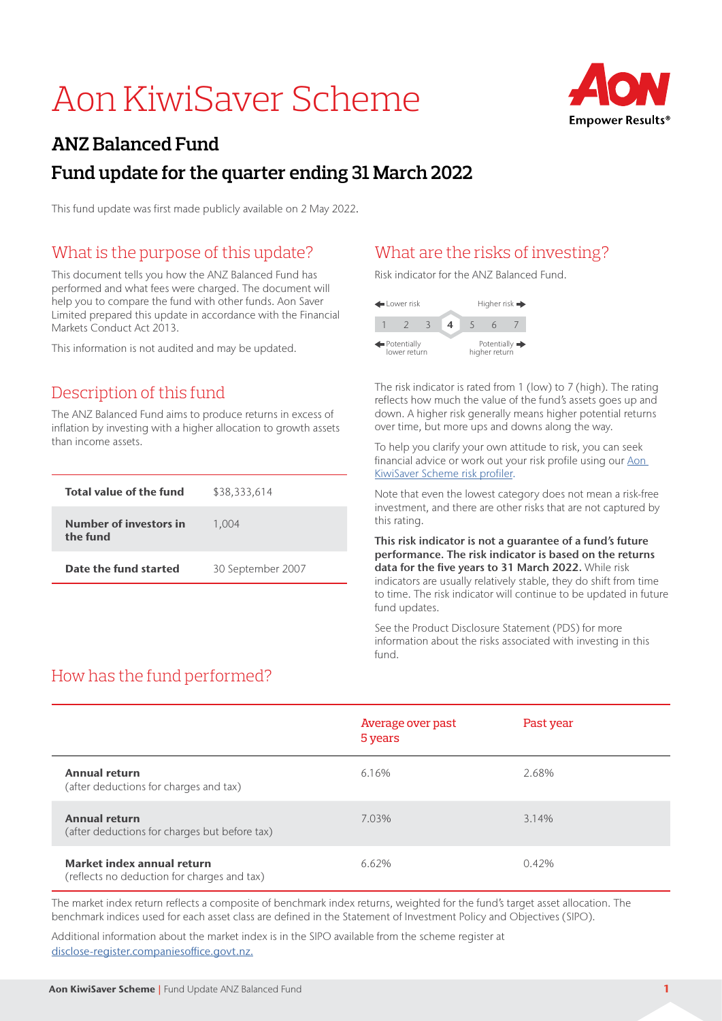# Aon KiwiSaver Scheme



## **ANZ Balanced Fund Fund update for the quarter ending 31 March 2022**

This fund update was first made publicly available on 2 May 2022.

## What is the purpose of this update?

This document tells you how the ANZ Balanced Fund has performed and what fees were charged. The document will help you to compare the fund with other funds. Aon Saver Limited prepared this update in accordance with the Financial Markets Conduct Act 2013.

This information is not audited and may be updated.

#### Description of this fund

The ANZ Balanced Fund aims to produce returns in excess of inflation by investing with a higher allocation to growth assets than income assets.

| Total value of the fund            | \$38,333,614      |
|------------------------------------|-------------------|
| Number of investors in<br>the fund | 1.004             |
| Date the fund started              | 30 September 2007 |

#### What are the risks of investing?

Risk indicator for the ANZ Balanced Fund.



The risk indicator is rated from 1 (low) to 7 (high). The rating reflects how much the value of the fund's assets goes up and down. A higher risk generally means higher potential returns over time, but more ups and downs along the way.

To help you clarify your own attitude to risk, you can seek financial advice or work out your risk profile using our Aon [KiwiSaver Scheme risk profiler.](https://www.aonkiwisaver.co.nz/Home/Investments/Risk-Profiler)

Note that even the lowest category does not mean a risk-free investment, and there are other risks that are not captured by this rating.

This risk indicator is not a guarantee of a fund's future performance. The risk indicator is based on the returns data for the five years to 31 March 2022. While risk indicators are usually relatively stable, they do shift from time to time. The risk indicator will continue to be updated in future fund updates.

See the Product Disclosure Statement (PDS) for more information about the risks associated with investing in this fund.

## How has the fund performed?

|                                                                           | Average over past<br>5 years | Past year |
|---------------------------------------------------------------------------|------------------------------|-----------|
| <b>Annual return</b><br>(after deductions for charges and tax)            | 6.16%                        | 2.68%     |
| <b>Annual return</b><br>(after deductions for charges but before tax)     | 7.03%                        | 3.14%     |
| Market index annual return<br>(reflects no deduction for charges and tax) | 6.62%                        | 0.42%     |

The market index return reflects a composite of benchmark index returns, weighted for the fund's target asset allocation. The benchmark indices used for each asset class are defined in the Statement of Investment Policy and Objectives (SIPO).

Additional information about the market index is in the SIPO available from the scheme register at disclose-register.companiesoffice.govt.nz.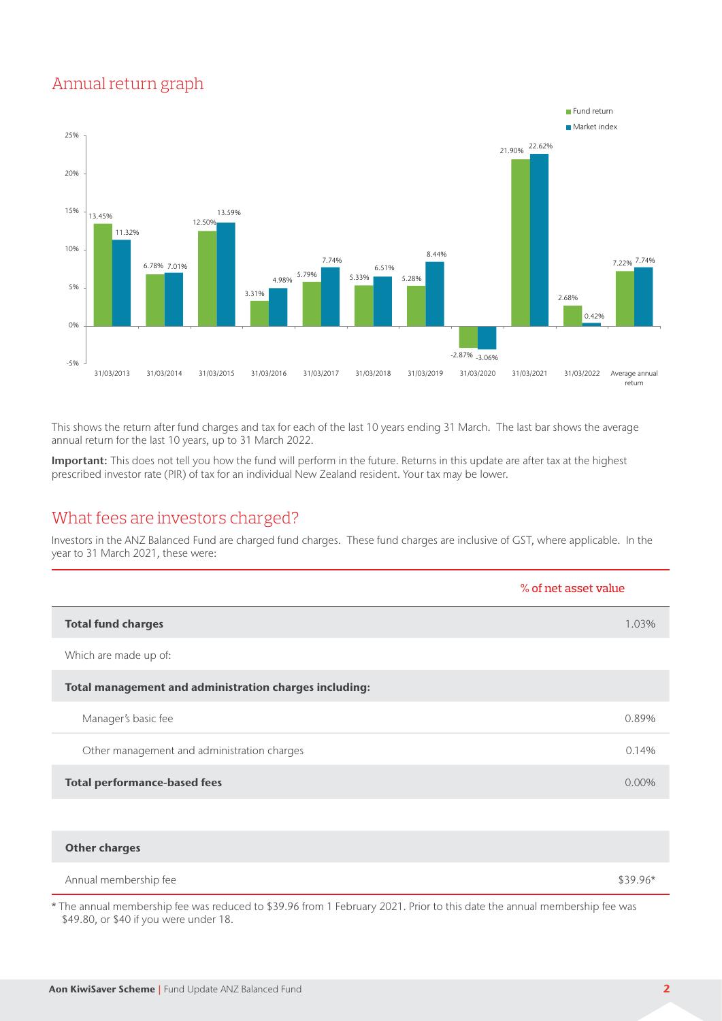#### Annual return graph



This shows the return after fund charges and tax for each of the last 10 years ending 31 March. The last bar shows the average annual return for the last 10 years, up to 31 March 2022.

Important: This does not tell you how the fund will perform in the future. Returns in this update are after tax at the highest prescribed investor rate (PIR) of tax for an individual New Zealand resident. Your tax may be lower.

#### What fees are investors charged?

Investors in the ANZ Balanced Fund are charged fund charges. These fund charges are inclusive of GST, where applicable. In the year to 31 March 2021, these were:

|                                                        | % of net asset value |
|--------------------------------------------------------|----------------------|
| <b>Total fund charges</b>                              | 1.03%                |
| Which are made up of:                                  |                      |
| Total management and administration charges including: |                      |
| Manager's basic fee                                    | 0.89%                |
| Other management and administration charges            | 0.14%                |
| <b>Total performance-based fees</b>                    | $0.00\%$             |
|                                                        |                      |

| <b>Other charges</b>  |           |
|-----------------------|-----------|
| Annual membership fee | $$39.96*$ |

\* The annual membership fee was reduced to \$39.96 from 1 February 2021. Prior to this date the annual membership fee was \$49.80, or \$40 if you were under 18.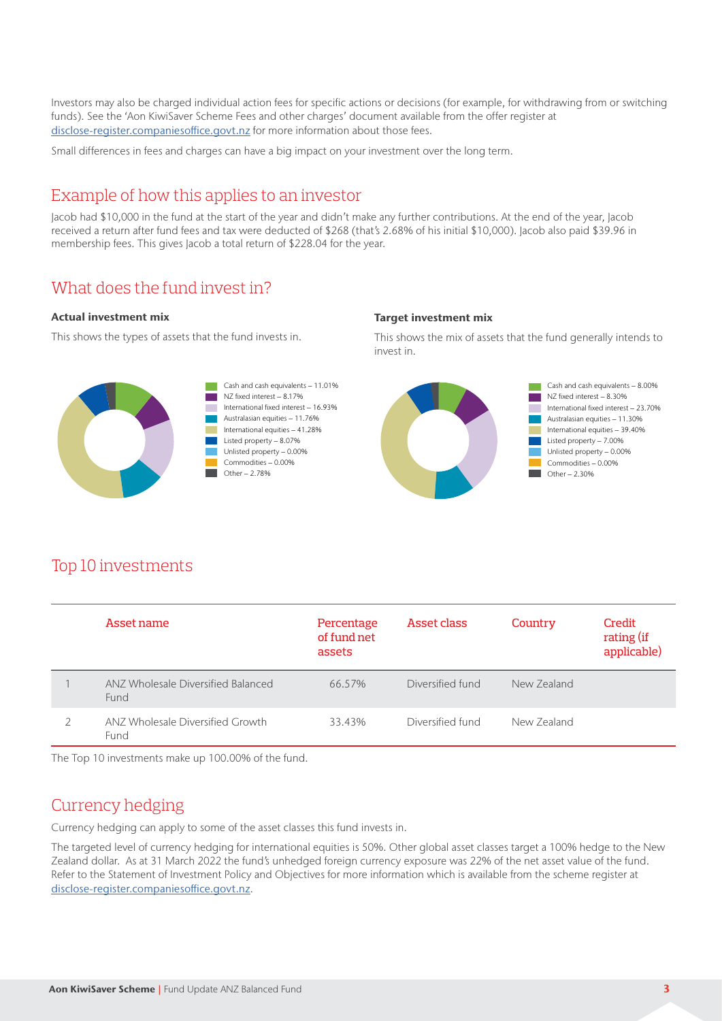Investors may also be charged individual action fees for specific actions or decisions (for example, for withdrawing from or switching funds). See the 'Aon KiwiSaver Scheme Fees and other charges' document available from the offer register at disclose-register.companiesoffice.govt.nz for more information about those fees.

Small differences in fees and charges can have a big impact on your investment over the long term.

#### Example of how this applies to an investor

Jacob had \$10,000 in the fund at the start of the year and didn't make any further contributions. At the end of the year, Jacob received a return after fund fees and tax were deducted of \$268 (that's 2.68% of his initial \$10,000). Jacob also paid \$39.96 in membership fees. This gives Jacob a total return of \$228.04 for the year.

#### What does the fund invest in?

#### Actual investment mix

This shows the types of assets that the fund invests in.





#### **Target investment mix**

This shows the mix of assets that the fund generally intends to invest in.



#### Top 10 investments

| Asset name                                 | Percentage<br>of fund net<br>assets | Asset class      | Country     | Credit<br>rating (if<br>applicable) |
|--------------------------------------------|-------------------------------------|------------------|-------------|-------------------------------------|
| ANZ Wholesale Diversified Balanced<br>Fund | 66.57%                              | Diversified fund | New Zealand |                                     |
| ANZ Wholesale Diversified Growth<br>Fund   | 33.43%                              | Diversified fund | New Zealand |                                     |

The Top 10 investments make up 100.00% of the fund.

#### Currency hedging

Currency hedging can apply to some of the asset classes this fund invests in.

The targeted level of currency hedging for international equities is 50%. Other global asset classes target a 100% hedge to the New Zealand dollar. As at 31 March 2022 the fund's unhedged foreign currency exposure was 22% of the net asset value of the fund. Refer to the Statement of Investment Policy and Objectives for more information which is available from the scheme register at disclose-register.companiesoffice.govt.nz.